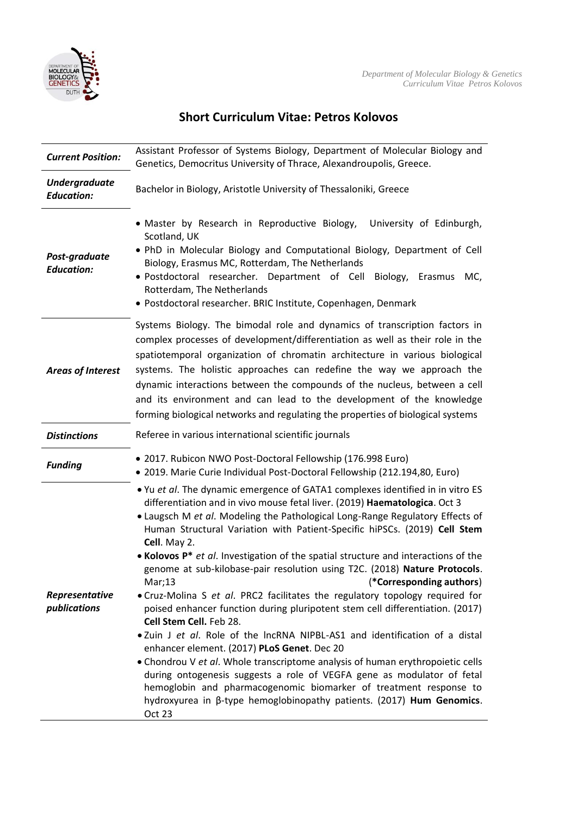

## **Short Curriculum Vitae: Petros Kolovos**

| <b>Current Position:</b>                  | Assistant Professor of Systems Biology, Department of Molecular Biology and<br>Genetics, Democritus University of Thrace, Alexandroupolis, Greece.                                                                                                                                                                                                                                                                                                                                                                                                                                                                                                                                                                                                                                                                                                                                                                                                                                                                                                                                                                                                                                                 |
|-------------------------------------------|----------------------------------------------------------------------------------------------------------------------------------------------------------------------------------------------------------------------------------------------------------------------------------------------------------------------------------------------------------------------------------------------------------------------------------------------------------------------------------------------------------------------------------------------------------------------------------------------------------------------------------------------------------------------------------------------------------------------------------------------------------------------------------------------------------------------------------------------------------------------------------------------------------------------------------------------------------------------------------------------------------------------------------------------------------------------------------------------------------------------------------------------------------------------------------------------------|
| <b>Undergraduate</b><br><b>Education:</b> | Bachelor in Biology, Aristotle University of Thessaloniki, Greece                                                                                                                                                                                                                                                                                                                                                                                                                                                                                                                                                                                                                                                                                                                                                                                                                                                                                                                                                                                                                                                                                                                                  |
| Post-graduate<br><b>Education:</b>        | • Master by Research in Reproductive Biology,<br>University of Edinburgh,<br>Scotland, UK<br>. PhD in Molecular Biology and Computational Biology, Department of Cell<br>Biology, Erasmus MC, Rotterdam, The Netherlands<br>· Postdoctoral researcher. Department of Cell Biology, Erasmus<br>MC,<br>Rotterdam, The Netherlands<br>· Postdoctoral researcher. BRIC Institute, Copenhagen, Denmark                                                                                                                                                                                                                                                                                                                                                                                                                                                                                                                                                                                                                                                                                                                                                                                                  |
| <b>Areas of Interest</b>                  | Systems Biology. The bimodal role and dynamics of transcription factors in<br>complex processes of development/differentiation as well as their role in the<br>spatiotemporal organization of chromatin architecture in various biological<br>systems. The holistic approaches can redefine the way we approach the<br>dynamic interactions between the compounds of the nucleus, between a cell<br>and its environment and can lead to the development of the knowledge<br>forming biological networks and regulating the properties of biological systems                                                                                                                                                                                                                                                                                                                                                                                                                                                                                                                                                                                                                                        |
| <b>Distinctions</b>                       | Referee in various international scientific journals                                                                                                                                                                                                                                                                                                                                                                                                                                                                                                                                                                                                                                                                                                                                                                                                                                                                                                                                                                                                                                                                                                                                               |
| <b>Funding</b>                            | · 2017. Rubicon NWO Post-Doctoral Fellowship (176.998 Euro)<br>· 2019. Marie Curie Individual Post-Doctoral Fellowship (212.194,80, Euro)                                                                                                                                                                                                                                                                                                                                                                                                                                                                                                                                                                                                                                                                                                                                                                                                                                                                                                                                                                                                                                                          |
| Representative<br>publications            | . Yu et al. The dynamic emergence of GATA1 complexes identified in in vitro ES<br>differentiation and in vivo mouse fetal liver. (2019) Haematologica. Oct 3<br>. Laugsch M et al. Modeling the Pathological Long-Range Regulatory Effects of<br>Human Structural Variation with Patient-Specific hiPSCs. (2019) Cell Stem<br>Cell. May 2.<br>• Kolovos P* et al. Investigation of the spatial structure and interactions of the<br>genome at sub-kilobase-pair resolution using T2C. (2018) Nature Protocols.<br>Mar;13<br>(*Corresponding authors)<br>• Cruz-Molina S et al. PRC2 facilitates the regulatory topology required for<br>poised enhancer function during pluripotent stem cell differentiation. (2017)<br>Cell Stem Cell. Feb 28.<br>. Zuin J et al. Role of the IncRNA NIPBL-AS1 and identification of a distal<br>enhancer element. (2017) PLoS Genet. Dec 20<br>• Chondrou V et al. Whole transcriptome analysis of human erythropoietic cells<br>during ontogenesis suggests a role of VEGFA gene as modulator of fetal<br>hemoglobin and pharmacogenomic biomarker of treatment response to<br>hydroxyurea in β-type hemoglobinopathy patients. (2017) Hum Genomics.<br>Oct 23 |